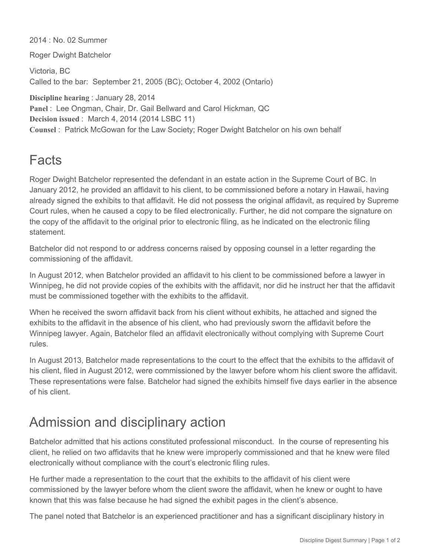2014 : No. 02 Summer

Roger Dwight Batchelor

Victoria, BC Called to the bar: September 21, 2005 (BC); October 4, 2002 (Ontario)

**Discipline hearing** : January 28, 2014 Panel : Lee Ongman, Chair, Dr. Gail Bellward and Carol Hickman, QC **Decision issued** : March 4, 2014 (2014 LSBC 11) **Counsel** : Patrick McGowan for the Law Society; Roger Dwight Batchelor on his own behalf

## Facts

Roger Dwight Batchelor represented the defendant in an estate action in the Supreme Court of BC. In January 2012, he provided an affidavit to his client, to be commissioned before a notary in Hawaii, having already signed the exhibits to that affidavit. He did not possess the original affidavit, as required by Supreme Court rules, when he caused a copy to be filed electronically. Further, he did not compare the signature on the copy of the affidavit to the original prior to electronic filing, as he indicated on the electronic filing statement.

Batchelor did not respond to or address concerns raised by opposing counsel in a letter regarding the commissioning of the affidavit.

In August 2012, when Batchelor provided an affidavit to his client to be commissioned before a lawyer in Winnipeg, he did not provide copies of the exhibits with the affidavit, nor did he instruct her that the affidavit must be commissioned together with the exhibits to the affidavit.

When he received the sworn affidavit back from his client without exhibits, he attached and signed the exhibits to the affidavit in the absence of his client, who had previously sworn the affidavit before the Winnipeg lawyer. Again, Batchelor filed an affidavit electronically without complying with Supreme Court rules.

In August 2013, Batchelor made representations to the court to the effect that the exhibits to the affidavit of his client, filed in August 2012, were commissioned by the lawyer before whom his client swore the affidavit. These representations were false. Batchelor had signed the exhibits himself five days earlier in the absence of his client.

## Admission and disciplinary action

Batchelor admitted that his actions constituted professional misconduct. In the course of representing his client, he relied on two affidavits that he knew were improperly commissioned and that he knew were filed electronically without compliance with the court's electronic filing rules.

He further made a representation to the court that the exhibits to the affidavit of his client were commissioned by the lawyer before whom the client swore the affidavit, when he knew or ought to have known that this was false because he had signed the exhibit pages in the client's absence.

The panel noted that Batchelor is an experienced practitioner and has a significant disciplinary history in